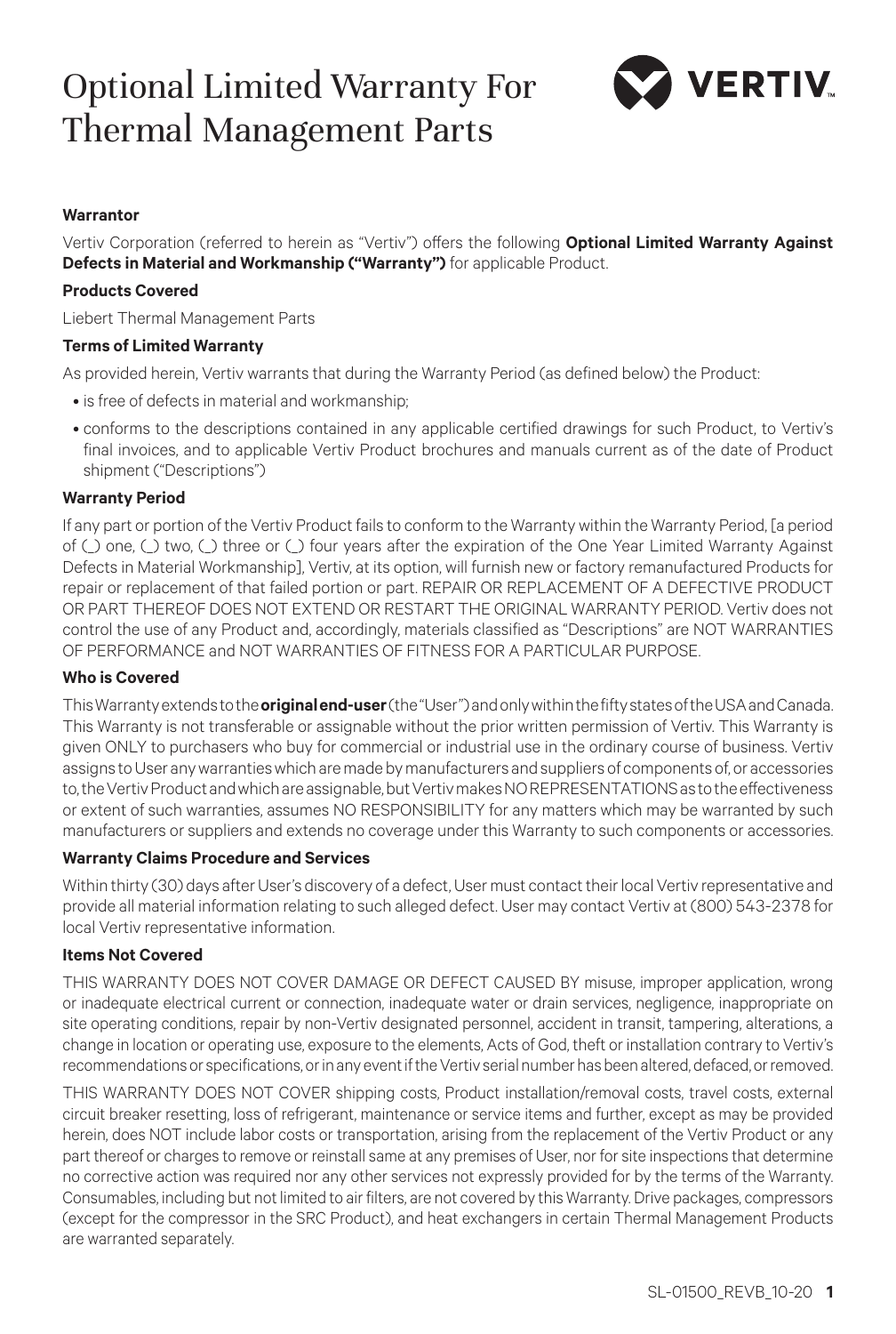# Optional Limited Warranty For Thermal Management Parts



### **Warrantor**

Vertiv Corporation (referred to herein as "Vertiv") offers the following **Optional Limited Warranty Against Defects in Material and Workmanship ("Warranty")** for applicable Product.

## **Products Covered**

Liebert Thermal Management Parts

### **Terms of Limited Warranty**

As provided herein, Vertiv warrants that during the Warranty Period (as defined below) the Product:

- is free of defects in material and workmanship;
- conforms to the descriptions contained in any applicable certified drawings for such Product, to Vertiv's final invoices, and to applicable Vertiv Product brochures and manuals current as of the date of Product shipment ("Descriptions")

### **Warranty Period**

If any part or portion of the Vertiv Product fails to conform to the Warranty within the Warranty Period, [a period of (\_) one, (\_) two, (\_) three or (\_) four years after the expiration of the One Year Limited Warranty Against Defects in Material Workmanship], Vertiv, at its option, will furnish new or factory remanufactured Products for repair or replacement of that failed portion or part. REPAIR OR REPLACEMENT OF A DEFECTIVE PRODUCT OR PART THEREOF DOES NOT EXTEND OR RESTART THE ORIGINAL WARRANTY PERIOD. Vertiv does not control the use of any Product and, accordingly, materials classified as "Descriptions" are NOT WARRANTIES OF PERFORMANCE and NOT WARRANTIES OF FITNESS FOR A PARTICULAR PURPOSE.

### **Who is Covered**

This Warranty extends to the **original end-user** (the "User") and only within the fifty states of the USA and Canada. This Warranty is not transferable or assignable without the prior written permission of Vertiv. This Warranty is given ONLY to purchasers who buy for commercial or industrial use in the ordinary course of business. Vertiv assigns to User any warranties which are made by manufacturers and suppliers of components of, or accessories to, the Vertiv Product and which are assignable, but Vertiv makes NO REPRESENTATIONS as to the effectiveness or extent of such warranties, assumes NO RESPONSIBILITY for any matters which may be warranted by such manufacturers or suppliers and extends no coverage under this Warranty to such components or accessories.

### **Warranty Claims Procedure and Services**

Within thirty (30) days after User's discovery of a defect, User must contact their local Vertiv representative and provide all material information relating to such alleged defect. User may contact Vertiv at (800) 543-2378 for local Vertiv representative information.

### **Items Not Covered**

THIS WARRANTY DOES NOT COVER DAMAGE OR DEFECT CAUSED BY misuse, improper application, wrong or inadequate electrical current or connection, inadequate water or drain services, negligence, inappropriate on site operating conditions, repair by non-Vertiv designated personnel, accident in transit, tampering, alterations, a change in location or operating use, exposure to the elements, Acts of God, theft or installation contrary to Vertiv's recommendations or specifications, or in any event if the Vertiv serial number has been altered, defaced, or removed.

THIS WARRANTY DOES NOT COVER shipping costs, Product installation/removal costs, travel costs, external circuit breaker resetting, loss of refrigerant, maintenance or service items and further, except as may be provided herein, does NOT include labor costs or transportation, arising from the replacement of the Vertiv Product or any part thereof or charges to remove or reinstall same at any premises of User, nor for site inspections that determine no corrective action was required nor any other services not expressly provided for by the terms of the Warranty. Consumables, including but not limited to air filters, are not covered by this Warranty. Drive packages, compressors (except for the compressor in the SRC Product), and heat exchangers in certain Thermal Management Products are warranted separately.